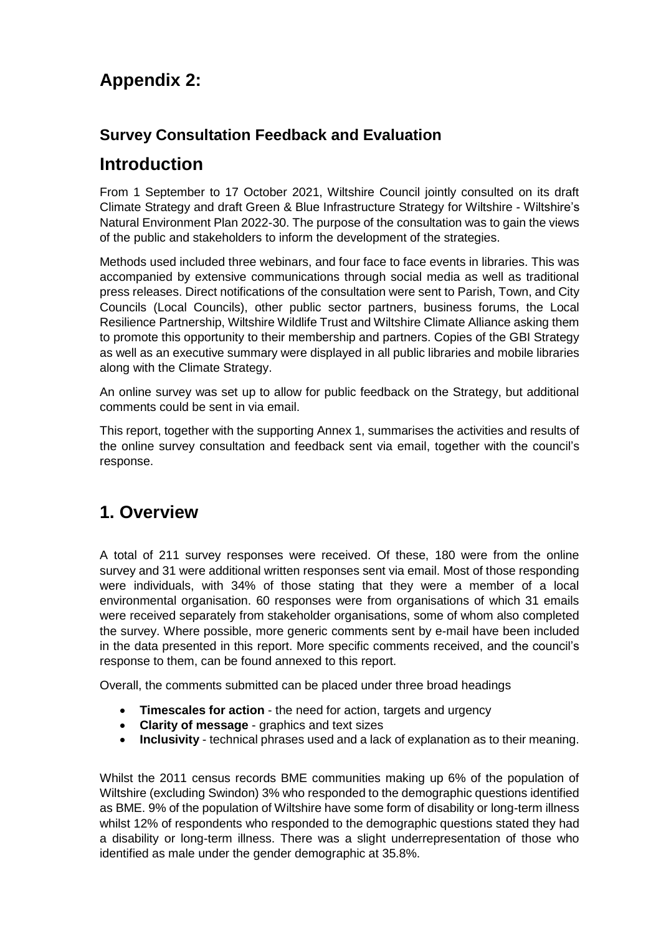# **Appendix 2:**

### **Survey Consultation Feedback and Evaluation**

## **Introduction**

From 1 September to 17 October 2021, Wiltshire Council jointly consulted on its draft Climate Strategy and draft Green & Blue Infrastructure Strategy for Wiltshire - Wiltshire's Natural Environment Plan 2022-30. The purpose of the consultation was to gain the views of the public and stakeholders to inform the development of the strategies.

Methods used included three webinars, and four face to face events in libraries. This was accompanied by extensive communications through social media as well as traditional press releases. Direct notifications of the consultation were sent to Parish, Town, and City Councils (Local Councils), other public sector partners, business forums, the Local Resilience Partnership, Wiltshire Wildlife Trust and Wiltshire Climate Alliance asking them to promote this opportunity to their membership and partners. Copies of the GBI Strategy as well as an executive summary were displayed in all public libraries and mobile libraries along with the Climate Strategy.

An online survey was set up to allow for public feedback on the Strategy, but additional comments could be sent in via email.

This report, together with the supporting Annex 1, summarises the activities and results of the online survey consultation and feedback sent via email, together with the council's response.

## **1. Overview**

A total of 211 survey responses were received. Of these, 180 were from the online survey and 31 were additional written responses sent via email. Most of those responding were individuals, with 34% of those stating that they were a member of a local environmental organisation. 60 responses were from organisations of which 31 emails were received separately from stakeholder organisations, some of whom also completed the survey. Where possible, more generic comments sent by e-mail have been included in the data presented in this report. More specific comments received, and the council's response to them, can be found annexed to this report.

Overall, the comments submitted can be placed under three broad headings

- **Timescales for action** the need for action, targets and urgency
- **Clarity of message** graphics and text sizes
- **Inclusivity** technical phrases used and a lack of explanation as to their meaning.

Whilst the 2011 census records BME communities making up 6% of the population of Wiltshire (excluding Swindon) 3% who responded to the demographic questions identified as BME. 9% of the population of Wiltshire have some form of disability or long-term illness whilst 12% of respondents who responded to the demographic questions stated they had a disability or long-term illness. There was a slight underrepresentation of those who identified as male under the gender demographic at 35.8%.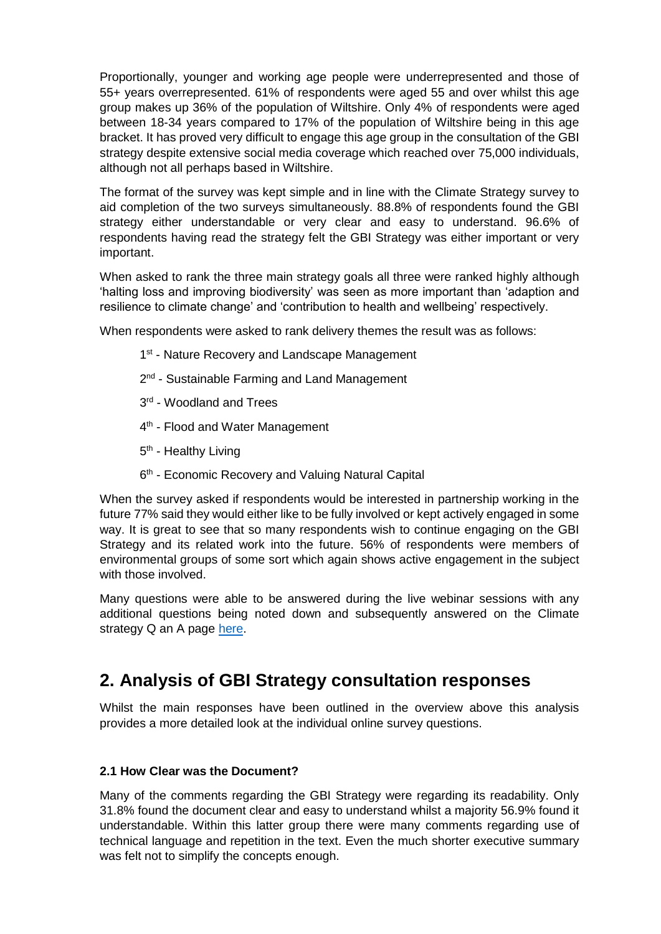Proportionally, younger and working age people were underrepresented and those of 55+ years overrepresented. 61% of respondents were aged 55 and over whilst this age group makes up 36% of the population of Wiltshire. Only 4% of respondents were aged between 18-34 years compared to 17% of the population of Wiltshire being in this age bracket. It has proved very difficult to engage this age group in the consultation of the GBI strategy despite extensive social media coverage which reached over 75,000 individuals, although not all perhaps based in Wiltshire.

The format of the survey was kept simple and in line with the Climate Strategy survey to aid completion of the two surveys simultaneously. 88.8% of respondents found the GBI strategy either understandable or very clear and easy to understand. 96.6% of respondents having read the strategy felt the GBI Strategy was either important or very important.

When asked to rank the three main strategy goals all three were ranked highly although 'halting loss and improving biodiversity' was seen as more important than 'adaption and resilience to climate change' and 'contribution to health and wellbeing' respectively.

When respondents were asked to rank delivery themes the result was as follows:

- 1<sup>st</sup> Nature Recovery and Landscape Management
- 2<sup>nd</sup> Sustainable Farming and Land Management
- 3<sup>rd</sup> Woodland and Trees
- 4<sup>th</sup> Flood and Water Management
- 5<sup>th</sup> Healthy Living
- 6<sup>th</sup> Economic Recovery and Valuing Natural Capital

When the survey asked if respondents would be interested in partnership working in the future 77% said they would either like to be fully involved or kept actively engaged in some way. It is great to see that so many respondents wish to continue engaging on the GBI Strategy and its related work into the future. 56% of respondents were members of environmental groups of some sort which again shows active engagement in the subject with those involved.

Many questions were able to be answered during the live webinar sessions with any additional questions being noted down and subsequently answered on the Climate strategy Q an A page [here.](https://www.wiltshire.gov.uk/green-economy-climate-strategy-consultation-qa)

### **2. Analysis of GBI Strategy consultation responses**

Whilst the main responses have been outlined in the overview above this analysis provides a more detailed look at the individual online survey questions.

### **2.1 How Clear was the Document?**

Many of the comments regarding the GBI Strategy were regarding its readability. Only 31.8% found the document clear and easy to understand whilst a majority 56.9% found it understandable. Within this latter group there were many comments regarding use of technical language and repetition in the text. Even the much shorter executive summary was felt not to simplify the concepts enough.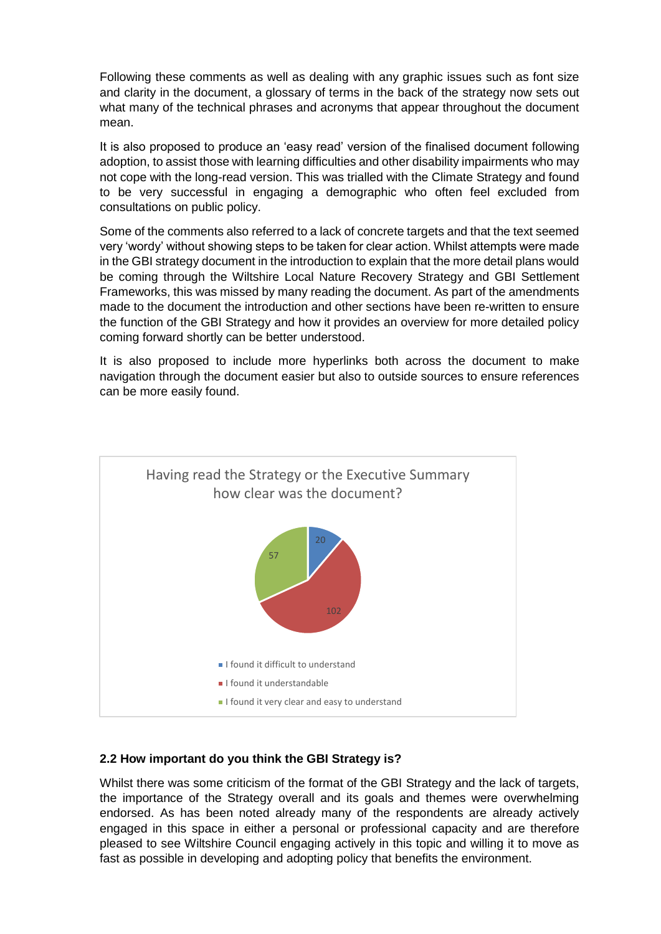Following these comments as well as dealing with any graphic issues such as font size and clarity in the document, a glossary of terms in the back of the strategy now sets out what many of the technical phrases and acronyms that appear throughout the document mean.

It is also proposed to produce an 'easy read' version of the finalised document following adoption, to assist those with learning difficulties and other disability impairments who may not cope with the long-read version. This was trialled with the Climate Strategy and found to be very successful in engaging a demographic who often feel excluded from consultations on public policy.

Some of the comments also referred to a lack of concrete targets and that the text seemed very 'wordy' without showing steps to be taken for clear action. Whilst attempts were made in the GBI strategy document in the introduction to explain that the more detail plans would be coming through the Wiltshire Local Nature Recovery Strategy and GBI Settlement Frameworks, this was missed by many reading the document. As part of the amendments made to the document the introduction and other sections have been re-written to ensure the function of the GBI Strategy and how it provides an overview for more detailed policy coming forward shortly can be better understood.

It is also proposed to include more hyperlinks both across the document to make navigation through the document easier but also to outside sources to ensure references can be more easily found.



#### **2.2 How important do you think the GBI Strategy is?**

Whilst there was some criticism of the format of the GBI Strategy and the lack of targets, the importance of the Strategy overall and its goals and themes were overwhelming endorsed. As has been noted already many of the respondents are already actively engaged in this space in either a personal or professional capacity and are therefore pleased to see Wiltshire Council engaging actively in this topic and willing it to move as fast as possible in developing and adopting policy that benefits the environment.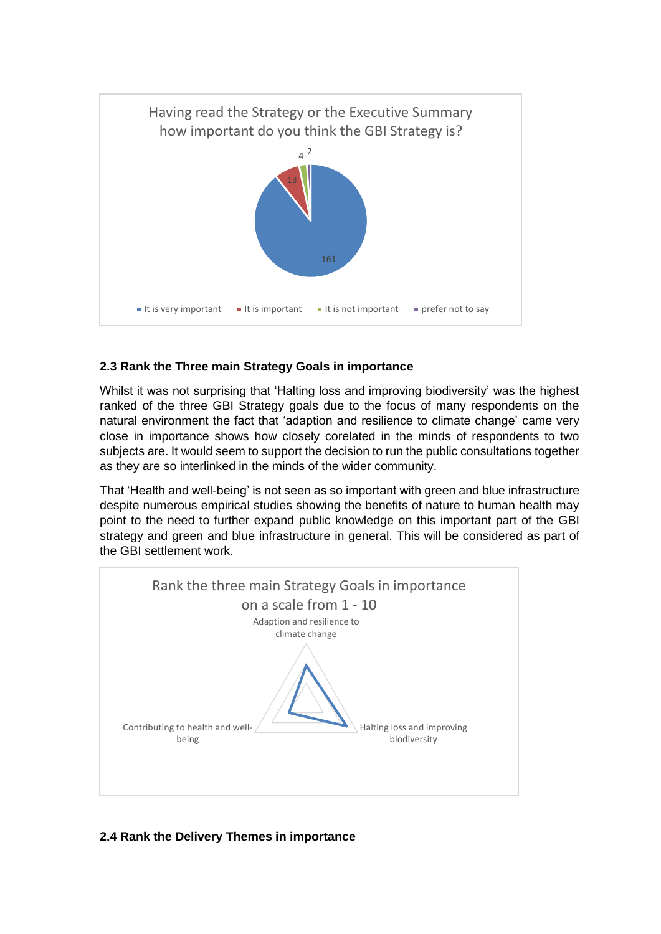

### **2.3 Rank the Three main Strategy Goals in importance**

Whilst it was not surprising that 'Halting loss and improving biodiversity' was the highest ranked of the three GBI Strategy goals due to the focus of many respondents on the natural environment the fact that 'adaption and resilience to climate change' came very close in importance shows how closely corelated in the minds of respondents to two subjects are. It would seem to support the decision to run the public consultations together as they are so interlinked in the minds of the wider community.

That 'Health and well-being' is not seen as so important with green and blue infrastructure despite numerous empirical studies showing the benefits of nature to human health may point to the need to further expand public knowledge on this important part of the GBI strategy and green and blue infrastructure in general. This will be considered as part of the GBI settlement work.



### **2.4 Rank the Delivery Themes in importance**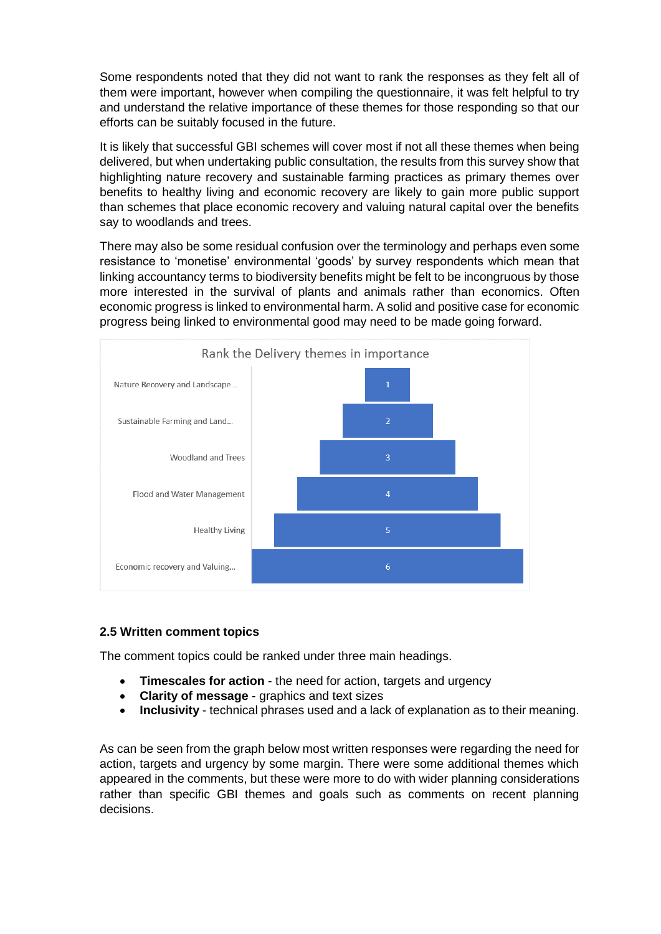Some respondents noted that they did not want to rank the responses as they felt all of them were important, however when compiling the questionnaire, it was felt helpful to try and understand the relative importance of these themes for those responding so that our efforts can be suitably focused in the future.

It is likely that successful GBI schemes will cover most if not all these themes when being delivered, but when undertaking public consultation, the results from this survey show that highlighting nature recovery and sustainable farming practices as primary themes over benefits to healthy living and economic recovery are likely to gain more public support than schemes that place economic recovery and valuing natural capital over the benefits say to woodlands and trees.

There may also be some residual confusion over the terminology and perhaps even some resistance to 'monetise' environmental 'goods' by survey respondents which mean that linking accountancy terms to biodiversity benefits might be felt to be incongruous by those more interested in the survival of plants and animals rather than economics. Often economic progress is linked to environmental harm. A solid and positive case for economic progress being linked to environmental good may need to be made going forward.



### **2.5 Written comment topics**

The comment topics could be ranked under three main headings.

- **Timescales for action** the need for action, targets and urgency
- **Clarity of message** graphics and text sizes
- **Inclusivity** technical phrases used and a lack of explanation as to their meaning.

As can be seen from the graph below most written responses were regarding the need for action, targets and urgency by some margin. There were some additional themes which appeared in the comments, but these were more to do with wider planning considerations rather than specific GBI themes and goals such as comments on recent planning decisions.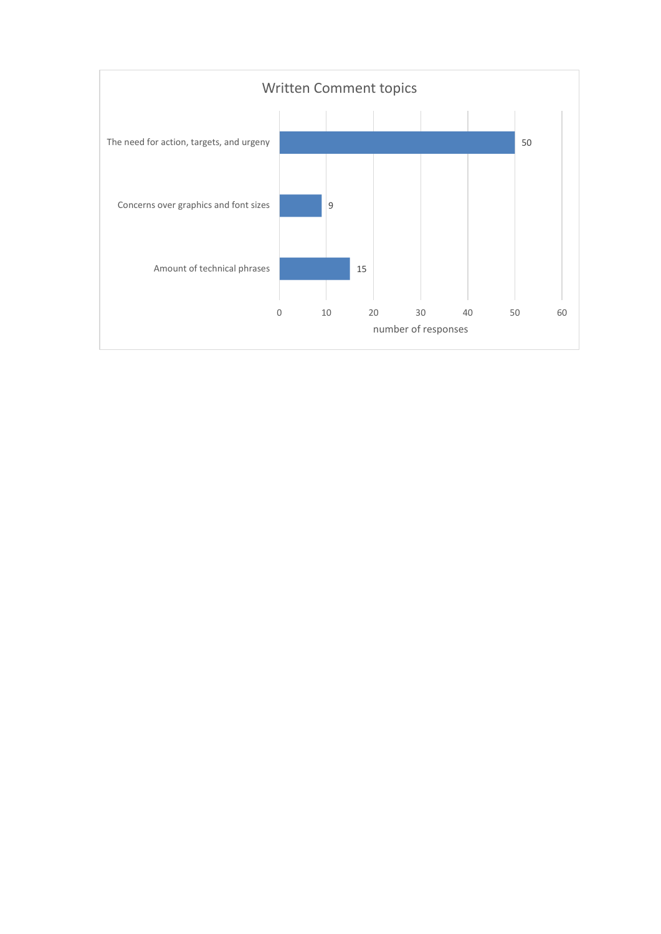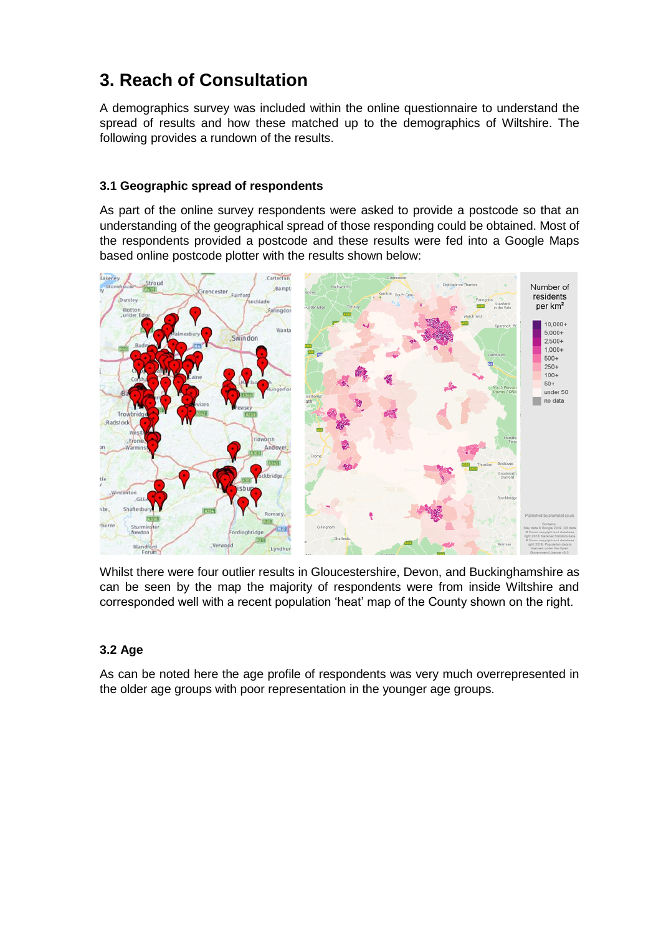## **3. Reach of Consultation**

A demographics survey was included within the online questionnaire to understand the spread of results and how these matched up to the demographics of Wiltshire. The following provides a rundown of the results.

### **3.1 Geographic spread of respondents**

As part of the online survey respondents were asked to provide a postcode so that an understanding of the geographical spread of those responding could be obtained. Most of the respondents provided a postcode and these results were fed into a Google Maps based online postcode plotter with the results shown below:



Whilst there were four outlier results in Gloucestershire, Devon, and Buckinghamshire as can be seen by the map the majority of respondents were from inside Wiltshire and corresponded well with a recent population 'heat' map of the County shown on the right.

### **3.2 Age**

As can be noted here the age profile of respondents was very much overrepresented in the older age groups with poor representation in the younger age groups.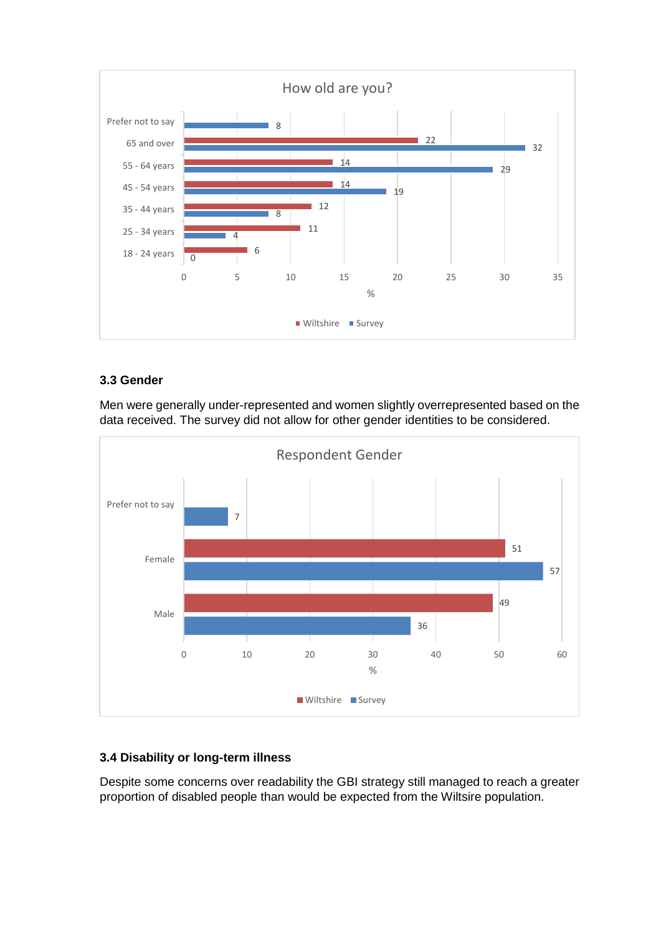

### **3.3 Gender**

36 57 7 49 51 0 10 20 30 40 50 60 Male Female Prefer not to say % Respondent Gender Wiltshire Survey

Men were generally under-represented and women slightly overrepresented based on the data received. The survey did not allow for other gender identities to be considered.

### **3.4 Disability or long-term illness**

Despite some concerns over readability the GBI strategy still managed to reach a greater proportion of disabled people than would be expected from the Wiltsire population.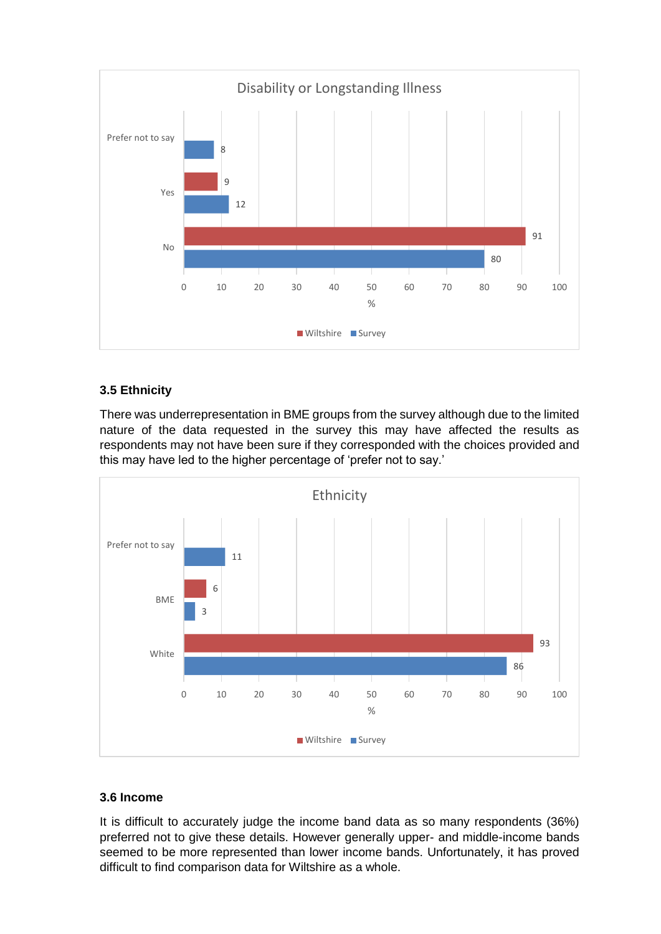

### **3.5 Ethnicity**

There was underrepresentation in BME groups from the survey although due to the limited nature of the data requested in the survey this may have affected the results as respondents may not have been sure if they corresponded with the choices provided and this may have led to the higher percentage of 'prefer not to say.'



### **3.6 Income**

It is difficult to accurately judge the income band data as so many respondents (36%) preferred not to give these details. However generally upper- and middle-income bands seemed to be more represented than lower income bands. Unfortunately, it has proved difficult to find comparison data for Wiltshire as a whole.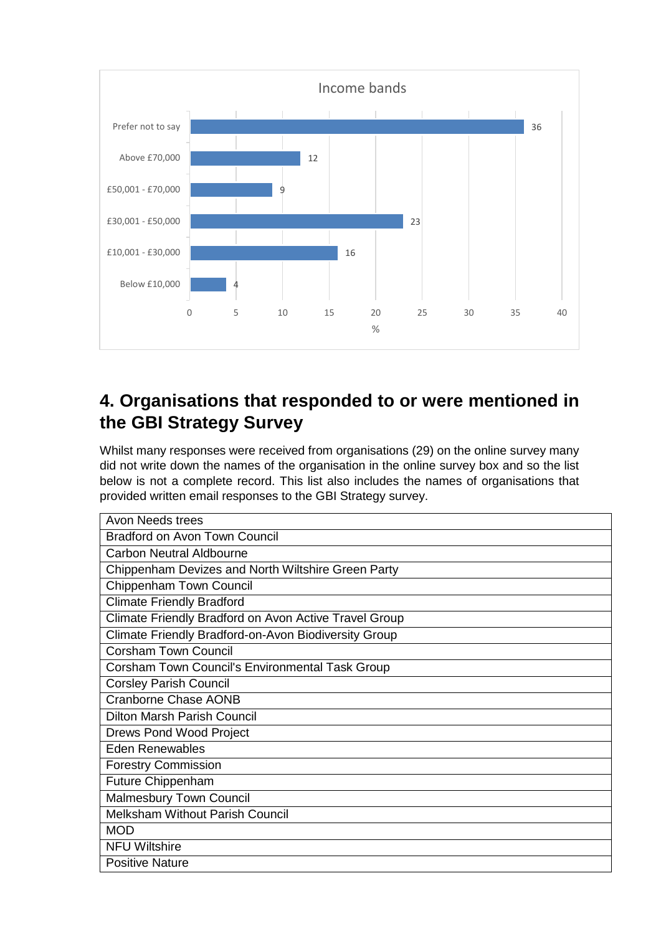

# **4. Organisations that responded to or were mentioned in the GBI Strategy Survey**

Whilst many responses were received from organisations (29) on the online survey many did not write down the names of the organisation in the online survey box and so the list below is not a complete record. This list also includes the names of organisations that provided written email responses to the GBI Strategy survey.

| Avon Needs trees                                      |
|-------------------------------------------------------|
| <b>Bradford on Avon Town Council</b>                  |
| <b>Carbon Neutral Aldbourne</b>                       |
| Chippenham Devizes and North Wiltshire Green Party    |
| Chippenham Town Council                               |
| <b>Climate Friendly Bradford</b>                      |
| Climate Friendly Bradford on Avon Active Travel Group |
| Climate Friendly Bradford-on-Avon Biodiversity Group  |
| <b>Corsham Town Council</b>                           |
| Corsham Town Council's Environmental Task Group       |
| <b>Corsley Parish Council</b>                         |
| Cranborne Chase AONB                                  |
| <b>Dilton Marsh Parish Council</b>                    |
| <b>Drews Pond Wood Project</b>                        |
| <b>Eden Renewables</b>                                |
| <b>Forestry Commission</b>                            |
| <b>Future Chippenham</b>                              |
| Malmesbury Town Council                               |
| <b>Melksham Without Parish Council</b>                |
| <b>MOD</b>                                            |
| <b>NFU Wiltshire</b>                                  |
| <b>Positive Nature</b>                                |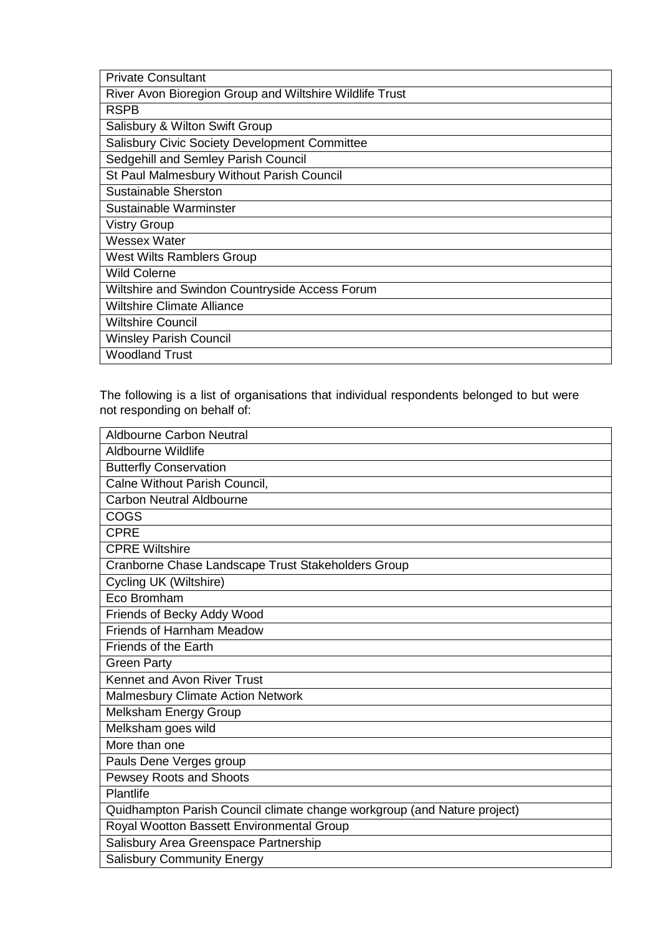| <b>Private Consultant</b>                               |
|---------------------------------------------------------|
| River Avon Bioregion Group and Wiltshire Wildlife Trust |
| <b>RSPB</b>                                             |
| Salisbury & Wilton Swift Group                          |
| <b>Salisbury Civic Society Development Committee</b>    |
| Sedgehill and Semley Parish Council                     |
| St Paul Malmesbury Without Parish Council               |
| <b>Sustainable Sherston</b>                             |
| Sustainable Warminster                                  |
| <b>Vistry Group</b>                                     |
| Wessex Water                                            |
| West Wilts Ramblers Group                               |
| <b>Wild Colerne</b>                                     |
| Wiltshire and Swindon Countryside Access Forum          |
| <b>Wiltshire Climate Alliance</b>                       |
| <b>Wiltshire Council</b>                                |
| <b>Winsley Parish Council</b>                           |
| <b>Woodland Trust</b>                                   |

The following is a list of organisations that individual respondents belonged to but were not responding on behalf of:

| <b>Aldbourne Carbon Neutral</b>                                          |
|--------------------------------------------------------------------------|
| Aldbourne Wildlife                                                       |
| <b>Butterfly Conservation</b>                                            |
| Calne Without Parish Council,                                            |
| <b>Carbon Neutral Aldbourne</b>                                          |
| COGS                                                                     |
| <b>CPRE</b>                                                              |
| <b>CPRE Wiltshire</b>                                                    |
| Cranborne Chase Landscape Trust Stakeholders Group                       |
| Cycling UK (Wiltshire)                                                   |
| Eco Bromham                                                              |
| Friends of Becky Addy Wood                                               |
| <b>Friends of Harnham Meadow</b>                                         |
| Friends of the Earth                                                     |
| <b>Green Party</b>                                                       |
| Kennet and Avon River Trust                                              |
| <b>Malmesbury Climate Action Network</b>                                 |
| Melksham Energy Group                                                    |
| Melksham goes wild                                                       |
| More than one                                                            |
| Pauls Dene Verges group                                                  |
| <b>Pewsey Roots and Shoots</b>                                           |
| Plantlife                                                                |
| Quidhampton Parish Council climate change workgroup (and Nature project) |
| Royal Wootton Bassett Environmental Group                                |
| Salisbury Area Greenspace Partnership                                    |
| <b>Salisbury Community Energy</b>                                        |